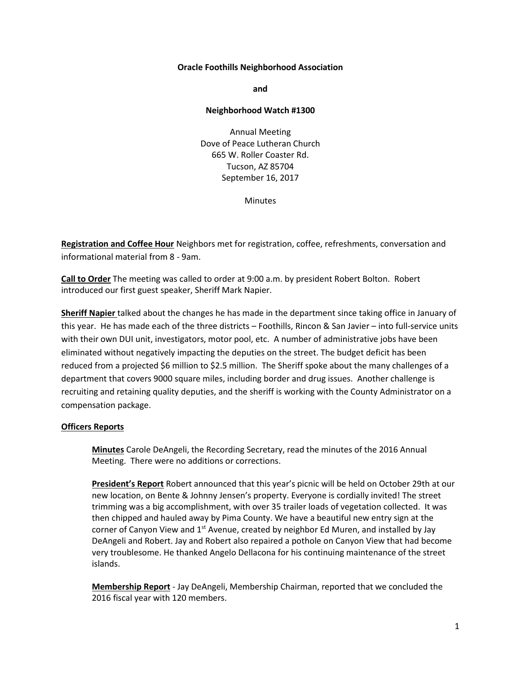### **Oracle Foothills Neighborhood Association**

**and**

#### **Neighborhood Watch #1300**

Annual Meeting Dove of Peace Lutheran Church 665 W. Roller Coaster Rd. Tucson, AZ 85704 September 16, 2017

**Minutes** 

**Registration and Coffee Hour** Neighbors met for registration, coffee, refreshments, conversation and informational material from 8 - 9am.

**Call to Order** The meeting was called to order at 9:00 a.m. by president Robert Bolton. Robert introduced our first guest speaker, Sheriff Mark Napier.

**Sheriff Napier** talked about the changes he has made in the department since taking office in January of this year. He has made each of the three districts – Foothills, Rincon & San Javier – into full-service units with their own DUI unit, investigators, motor pool, etc. A number of administrative jobs have been eliminated without negatively impacting the deputies on the street. The budget deficit has been reduced from a projected \$6 million to \$2.5 million. The Sheriff spoke about the many challenges of a department that covers 9000 square miles, including border and drug issues. Another challenge is recruiting and retaining quality deputies, and the sheriff is working with the County Administrator on a compensation package.

### **Officers Reports**

**Minutes** Carole DeAngeli, the Recording Secretary, read the minutes of the 2016 Annual Meeting. There were no additions or corrections.

**President's Report** Robert announced that this year's picnic will be held on October 29th at our new location, on Bente & Johnny Jensen's property. Everyone is cordially invited! The street trimming was a big accomplishment, with over 35 trailer loads of vegetation collected. It was then chipped and hauled away by Pima County. We have a beautiful new entry sign at the corner of Canyon View and  $1<sup>st</sup>$  Avenue, created by neighbor Ed Muren, and installed by Jay DeAngeli and Robert. Jay and Robert also repaired a pothole on Canyon View that had become very troublesome. He thanked Angelo Dellacona for his continuing maintenance of the street islands.

**Membership Report** - Jay DeAngeli, Membership Chairman, reported that we concluded the 2016 fiscal year with 120 members.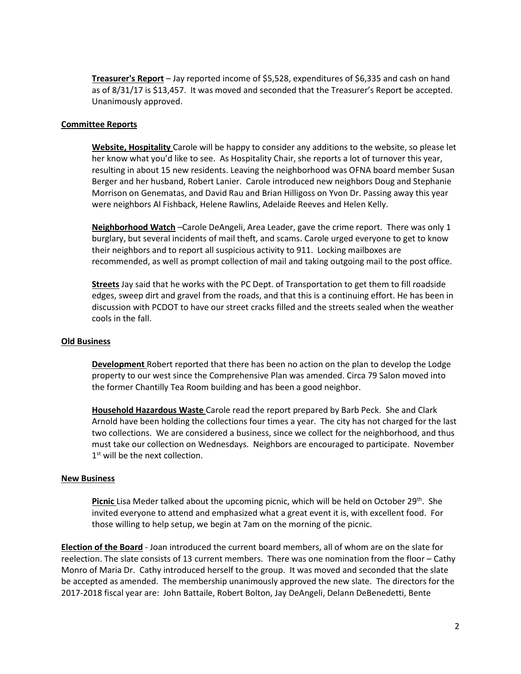**Treasurer's Report** – Jay reported income of \$5,528, expenditures of \$6,335 and cash on hand as of 8/31/17 is \$13,457. It was moved and seconded that the Treasurer's Report be accepted. Unanimously approved.

# **Committee Reports**

**Website, Hospitality** Carole will be happy to consider any additions to the website, so please let her know what you'd like to see. As Hospitality Chair, she reports a lot of turnover this year, resulting in about 15 new residents. Leaving the neighborhood was OFNA board member Susan Berger and her husband, Robert Lanier. Carole introduced new neighbors Doug and Stephanie Morrison on Genematas, and David Rau and Brian Hilligoss on Yvon Dr. Passing away this year were neighbors Al Fishback, Helene Rawlins, Adelaide Reeves and Helen Kelly.

**Neighborhood Watch** –Carole DeAngeli, Area Leader, gave the crime report. There was only 1 burglary, but several incidents of mail theft, and scams. Carole urged everyone to get to know their neighbors and to report all suspicious activity to 911. Locking mailboxes are recommended, as well as prompt collection of mail and taking outgoing mail to the post office.

**Streets** Jay said that he works with the PC Dept. of Transportation to get them to fill roadside edges, sweep dirt and gravel from the roads, and that this is a continuing effort. He has been in discussion with PCDOT to have our street cracks filled and the streets sealed when the weather cools in the fall.

# **Old Business**

**Development** Robert reported that there has been no action on the plan to develop the Lodge property to our west since the Comprehensive Plan was amended. Circa 79 Salon moved into the former Chantilly Tea Room building and has been a good neighbor.

**Household Hazardous Waste** Carole read the report prepared by Barb Peck. She and Clark Arnold have been holding the collections four times a year. The city has not charged for the last two collections. We are considered a business, since we collect for the neighborhood, and thus must take our collection on Wednesdays. Neighbors are encouraged to participate. November 1<sup>st</sup> will be the next collection.

### **New Business**

Picnic Lisa Meder talked about the upcoming picnic, which will be held on October 29<sup>th</sup>. She invited everyone to attend and emphasized what a great event it is, with excellent food. For those willing to help setup, we begin at 7am on the morning of the picnic.

**Election of the Board** - Joan introduced the current board members, all of whom are on the slate for reelection. The slate consists of 13 current members. There was one nomination from the floor – Cathy Monro of Maria Dr. Cathy introduced herself to the group. It was moved and seconded that the slate be accepted as amended. The membership unanimously approved the new slate. The directors for the 2017-2018 fiscal year are: John Battaile, Robert Bolton, Jay DeAngeli, Delann DeBenedetti, Bente